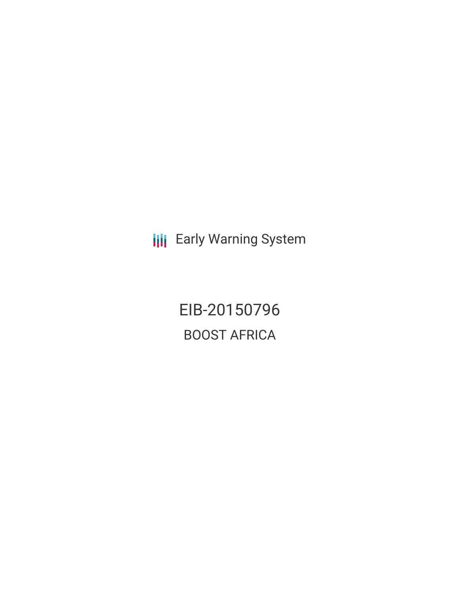**III** Early Warning System

EIB-20150796 BOOST AFRICA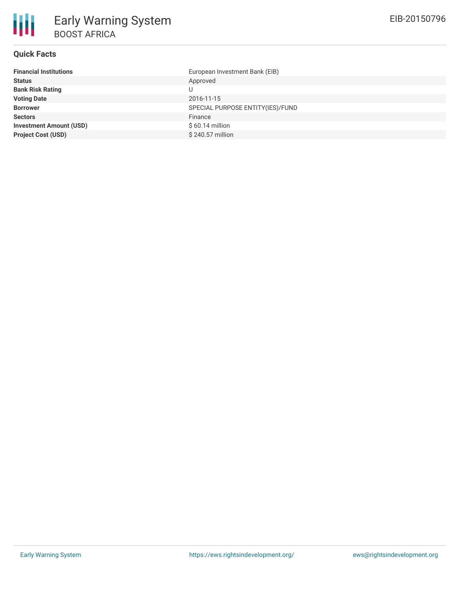

### **Quick Facts**

| <b>Financial Institutions</b>  | European Investment Bank (EIB)   |
|--------------------------------|----------------------------------|
| <b>Status</b>                  | Approved                         |
| <b>Bank Risk Rating</b>        |                                  |
| <b>Voting Date</b>             | 2016-11-15                       |
| <b>Borrower</b>                | SPECIAL PURPOSE ENTITY(IES)/FUND |
| <b>Sectors</b>                 | Finance                          |
| <b>Investment Amount (USD)</b> | $$60.14$ million                 |
| <b>Project Cost (USD)</b>      | \$240.57 million                 |
|                                |                                  |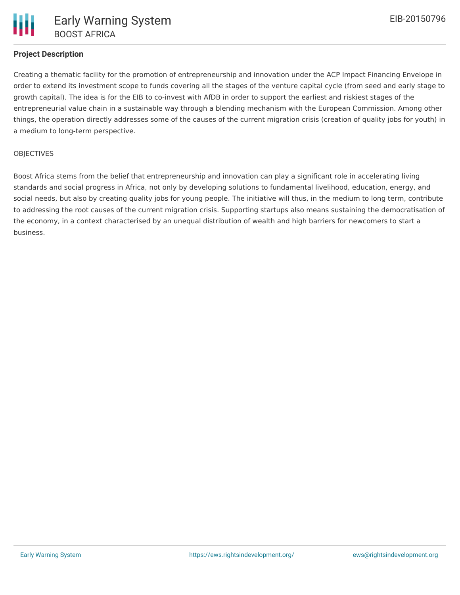# **Project Description**

Creating a thematic facility for the promotion of entrepreneurship and innovation under the ACP Impact Financing Envelope in order to extend its investment scope to funds covering all the stages of the venture capital cycle (from seed and early stage to growth capital). The idea is for the EIB to co-invest with AfDB in order to support the earliest and riskiest stages of the entrepreneurial value chain in a sustainable way through a blending mechanism with the European Commission. Among other things, the operation directly addresses some of the causes of the current migration crisis (creation of quality jobs for youth) in a medium to long-term perspective.

#### **OBJECTIVES**

Boost Africa stems from the belief that entrepreneurship and innovation can play a significant role in accelerating living standards and social progress in Africa, not only by developing solutions to fundamental livelihood, education, energy, and social needs, but also by creating quality jobs for young people. The initiative will thus, in the medium to long term, contribute to addressing the root causes of the current migration crisis. Supporting startups also means sustaining the democratisation of the economy, in a context characterised by an unequal distribution of wealth and high barriers for newcomers to start a business.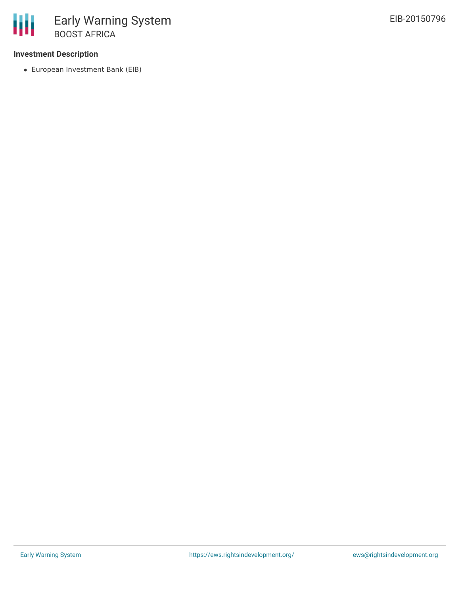### **Investment Description**

European Investment Bank (EIB)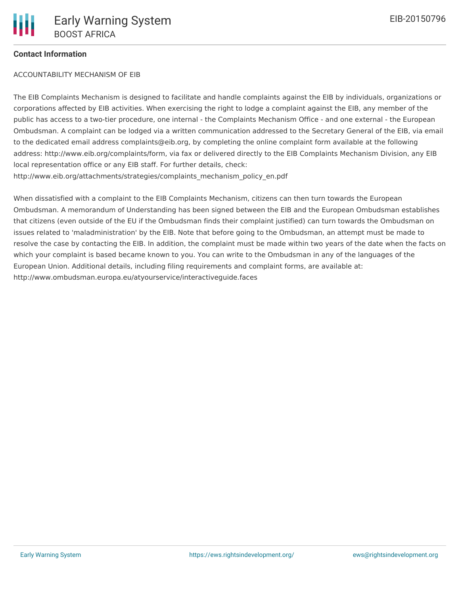# **Contact Information**

ACCOUNTABILITY MECHANISM OF EIB

The EIB Complaints Mechanism is designed to facilitate and handle complaints against the EIB by individuals, organizations or corporations affected by EIB activities. When exercising the right to lodge a complaint against the EIB, any member of the public has access to a two-tier procedure, one internal - the Complaints Mechanism Office - and one external - the European Ombudsman. A complaint can be lodged via a written communication addressed to the Secretary General of the EIB, via email to the dedicated email address complaints@eib.org, by completing the online complaint form available at the following address: http://www.eib.org/complaints/form, via fax or delivered directly to the EIB Complaints Mechanism Division, any EIB local representation office or any EIB staff. For further details, check: http://www.eib.org/attachments/strategies/complaints\_mechanism\_policy\_en.pdf

When dissatisfied with a complaint to the EIB Complaints Mechanism, citizens can then turn towards the European Ombudsman. A memorandum of Understanding has been signed between the EIB and the European Ombudsman establishes that citizens (even outside of the EU if the Ombudsman finds their complaint justified) can turn towards the Ombudsman on issues related to 'maladministration' by the EIB. Note that before going to the Ombudsman, an attempt must be made to resolve the case by contacting the EIB. In addition, the complaint must be made within two years of the date when the facts on which your complaint is based became known to you. You can write to the Ombudsman in any of the languages of the European Union. Additional details, including filing requirements and complaint forms, are available at: http://www.ombudsman.europa.eu/atyourservice/interactiveguide.faces